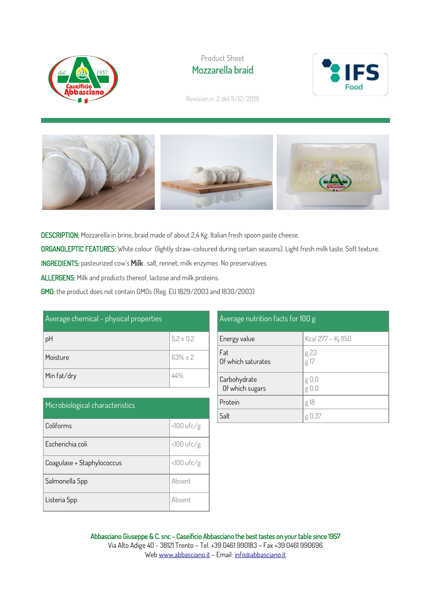

## Product Sheet Mozzarella braid



Revision n. 2 del 11/12/2019



DESCRIPTION: Mozzarella in brine, braid made of about 2,4 Kg. Italian fresh spoon paste cheese.

ORGANOLEPTIC FEATURES: White colour (lightly straw-coloured during certain seasons). Light fresh milk taste. Soft texture.

INGREDIENTS: pasteurized cow's Milk , salt, rennet, milk enzymes. No preservatives.

ALLERGENS: Milk and products thereof, lactose and milk proteins.

GMO: the product does not contain GMOs (Reg. EU 1829/2003 and 1830/2003)

| Average chemical - physical properties |               |
|----------------------------------------|---------------|
| pH                                     | $5,2 \pm 0,2$ |
| Moisture                               | $63% \pm 2$   |
| Min fat/dry                            |               |

| Microbiological characteristics |              |
|---------------------------------|--------------|
| Coliforms                       | <100 ufc/g   |
| Escherichia coli                | <100 ufc/g   |
| Coagulase + Staphylococcus      | $<100$ ufc/g |
| Salmonella Spp                  | Absent       |
| Listeria Spp                    | Ahsent       |

## Average nutrition facts for 100 g Energy value  $\kappa$  Kcal 277 – Ki 1150 Fat Of which saturates g 23 g 17 Carbohydrate Of which sugars g 0,0 g 0,0 Protein and g18 Salt  $\log 0.37$